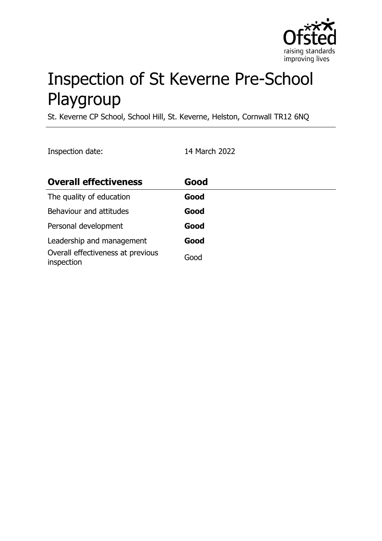

# Inspection of St Keverne Pre-School Playgroup

St. Keverne CP School, School Hill, St. Keverne, Helston, Cornwall TR12 6NQ

Inspection date: 14 March 2022

| <b>Overall effectiveness</b>                    | Good |
|-------------------------------------------------|------|
| The quality of education                        | Good |
| Behaviour and attitudes                         | Good |
| Personal development                            | Good |
| Leadership and management                       | Good |
| Overall effectiveness at previous<br>inspection | Good |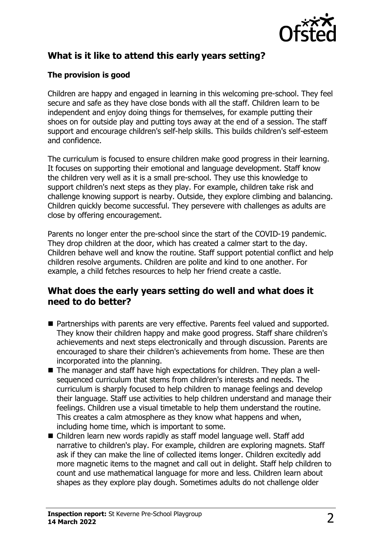

# **What is it like to attend this early years setting?**

#### **The provision is good**

Children are happy and engaged in learning in this welcoming pre-school. They feel secure and safe as they have close bonds with all the staff. Children learn to be independent and enjoy doing things for themselves, for example putting their shoes on for outside play and putting toys away at the end of a session. The staff support and encourage children's self-help skills. This builds children's self-esteem and confidence.

The curriculum is focused to ensure children make good progress in their learning. It focuses on supporting their emotional and language development. Staff know the children very well as it is a small pre-school. They use this knowledge to support children's next steps as they play. For example, children take risk and challenge knowing support is nearby. Outside, they explore climbing and balancing. Children quickly become successful. They persevere with challenges as adults are close by offering encouragement.

Parents no longer enter the pre-school since the start of the COVID-19 pandemic. They drop children at the door, which has created a calmer start to the day. Children behave well and know the routine. Staff support potential conflict and help children resolve arguments. Children are polite and kind to one another. For example, a child fetches resources to help her friend create a castle.

### **What does the early years setting do well and what does it need to do better?**

- Partnerships with parents are very effective. Parents feel valued and supported. They know their children happy and make good progress. Staff share children's achievements and next steps electronically and through discussion. Parents are encouraged to share their children's achievements from home. These are then incorporated into the planning.
- $\blacksquare$  The manager and staff have high expectations for children. They plan a wellsequenced curriculum that stems from children's interests and needs. The curriculum is sharply focused to help children to manage feelings and develop their language. Staff use activities to help children understand and manage their feelings. Children use a visual timetable to help them understand the routine. This creates a calm atmosphere as they know what happens and when, including home time, which is important to some.
- Children learn new words rapidly as staff model language well. Staff add narrative to children's play. For example, children are exploring magnets. Staff ask if they can make the line of collected items longer. Children excitedly add more magnetic items to the magnet and call out in delight. Staff help children to count and use mathematical language for more and less. Children learn about shapes as they explore play dough. Sometimes adults do not challenge older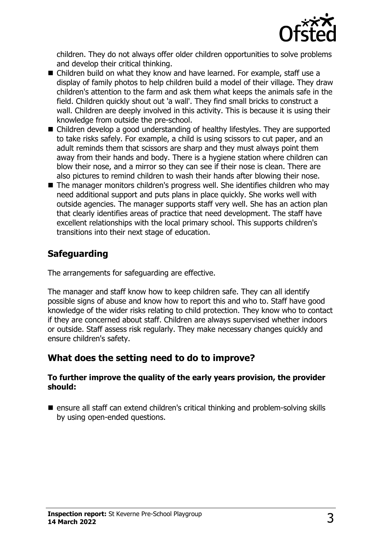

children. They do not always offer older children opportunities to solve problems and develop their critical thinking.

- Children build on what they know and have learned. For example, staff use a display of family photos to help children build a model of their village. They draw children's attention to the farm and ask them what keeps the animals safe in the field. Children quickly shout out 'a wall'. They find small bricks to construct a wall. Children are deeply involved in this activity. This is because it is using their knowledge from outside the pre-school.
- $\blacksquare$  Children develop a good understanding of healthy lifestyles. They are supported to take risks safely. For example, a child is using scissors to cut paper, and an adult reminds them that scissors are sharp and they must always point them away from their hands and body. There is a hygiene station where children can blow their nose, and a mirror so they can see if their nose is clean. There are also pictures to remind children to wash their hands after blowing their nose.
- $\blacksquare$  The manager monitors children's progress well. She identifies children who may need additional support and puts plans in place quickly. She works well with outside agencies. The manager supports staff very well. She has an action plan that clearly identifies areas of practice that need development. The staff have excellent relationships with the local primary school. This supports children's transitions into their next stage of education.

## **Safeguarding**

The arrangements for safeguarding are effective.

The manager and staff know how to keep children safe. They can all identify possible signs of abuse and know how to report this and who to. Staff have good knowledge of the wider risks relating to child protection. They know who to contact if they are concerned about staff. Children are always supervised whether indoors or outside. Staff assess risk regularly. They make necessary changes quickly and ensure children's safety.

### **What does the setting need to do to improve?**

#### **To further improve the quality of the early years provision, the provider should:**

 $\blacksquare$  ensure all staff can extend children's critical thinking and problem-solving skills by using open-ended questions.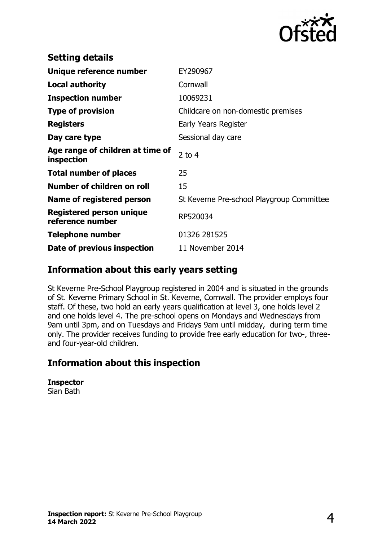

| <b>Setting details</b>                         |                                           |
|------------------------------------------------|-------------------------------------------|
| Unique reference number                        | EY290967                                  |
| Local authority                                | Cornwall                                  |
| <b>Inspection number</b>                       | 10069231                                  |
| <b>Type of provision</b>                       | Childcare on non-domestic premises        |
| <b>Registers</b>                               | Early Years Register                      |
| Day care type                                  | Sessional day care                        |
| Age range of children at time of<br>inspection | 2 to $4$                                  |
| <b>Total number of places</b>                  | 25                                        |
| Number of children on roll                     | 15                                        |
| Name of registered person                      | St Keverne Pre-school Playgroup Committee |
| Registered person unique<br>reference number   | RP520034                                  |
| <b>Telephone number</b>                        | 01326 281525                              |
| Date of previous inspection                    | 11 November 2014                          |

#### **Information about this early years setting**

St Keverne Pre-School Playgroup registered in 2004 and is situated in the grounds of St. Keverne Primary School in St. Keverne, Cornwall. The provider employs four staff. Of these, two hold an early years qualification at level 3, one holds level 2 and one holds level 4. The pre-school opens on Mondays and Wednesdays from 9am until 3pm, and on Tuesdays and Fridays 9am until midday, during term time only. The provider receives funding to provide free early education for two-, threeand four-year-old children.

### **Information about this inspection**

| <b>Inspector</b> |
|------------------|
| Sian Bath        |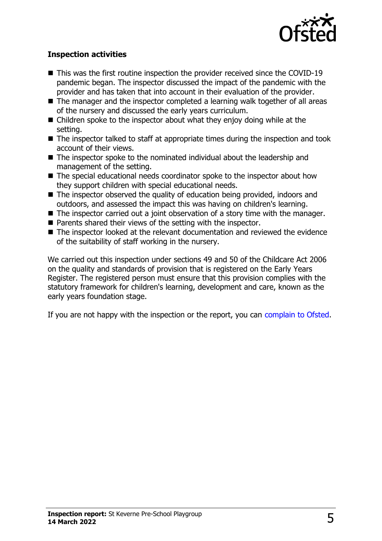

#### **Inspection activities**

- $\blacksquare$  This was the first routine inspection the provider received since the COVID-19 pandemic began. The inspector discussed the impact of the pandemic with the provider and has taken that into account in their evaluation of the provider.
- $\blacksquare$  The manager and the inspector completed a learning walk together of all areas of the nursery and discussed the early years curriculum.
- $\blacksquare$  Children spoke to the inspector about what they enjoy doing while at the setting.
- $\blacksquare$  The inspector talked to staff at appropriate times during the inspection and took account of their views.
- $\blacksquare$  The inspector spoke to the nominated individual about the leadership and management of the setting.
- $\blacksquare$  The special educational needs coordinator spoke to the inspector about how they support children with special educational needs.
- $\blacksquare$  The inspector observed the quality of education being provided, indoors and outdoors, and assessed the impact this was having on children's learning.
- $\blacksquare$  The inspector carried out a joint observation of a story time with the manager.
- $\blacksquare$  Parents shared their views of the setting with the inspector.
- $\blacksquare$  The inspector looked at the relevant documentation and reviewed the evidence of the suitability of staff working in the nursery.

We carried out this inspection under sections 49 and 50 of the Childcare Act 2006 on the quality and standards of provision that is registered on the Early Years Register. The registered person must ensure that this provision complies with the statutory framework for children's learning, development and care, known as the early years foundation stage.

If you are not happy with the inspection or the report, you can [complain to Ofsted](http://www.gov.uk/complain-ofsted-report).